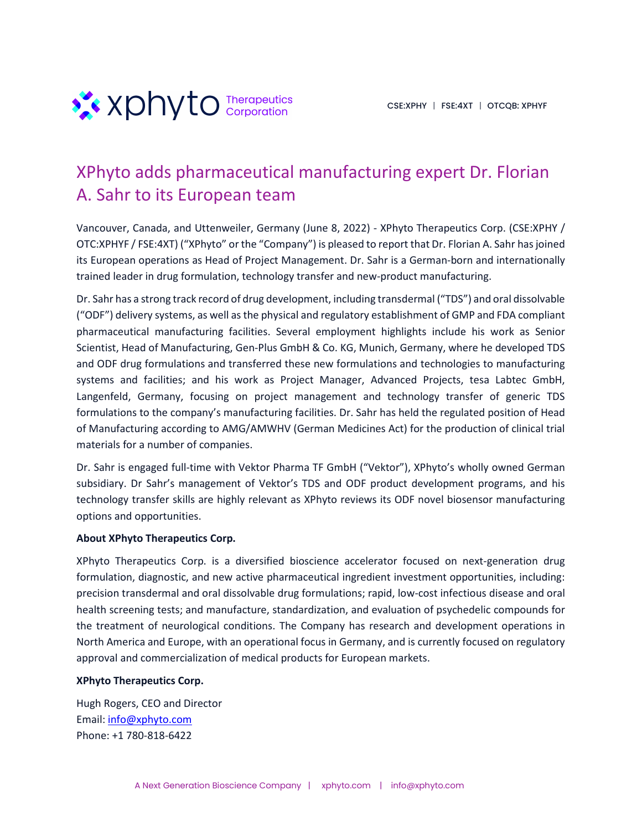

## XPhyto adds pharmaceutical manufacturing expert Dr. Florian A. Sahr to its European team

Vancouver, Canada, and Uttenweiler, Germany (June 8, 2022) - XPhyto Therapeutics Corp. (CSE:XPHY / OTC:XPHYF / FSE:4XT) ("XPhyto" or the "Company") is pleased to report that Dr. Florian A. Sahr has joined its European operations as Head of Project Management. Dr. Sahr is a German-born and internationally trained leader in drug formulation, technology transfer and new-product manufacturing.

Dr. Sahr has a strong track record of drug development, including transdermal ("TDS") and oral dissolvable ("ODF") delivery systems, as well as the physical and regulatory establishment of GMP and FDA compliant pharmaceutical manufacturing facilities. Several employment highlights include his work as Senior Scientist, Head of Manufacturing, Gen-Plus GmbH & Co. KG, Munich, Germany, where he developed TDS and ODF drug formulations and transferred these new formulations and technologies to manufacturing systems and facilities; and his work as Project Manager, Advanced Projects, tesa Labtec GmbH, Langenfeld, Germany, focusing on project management and technology transfer of generic TDS formulations to the company's manufacturing facilities. Dr. Sahr has held the regulated position of Head of Manufacturing according to AMG/AMWHV (German Medicines Act) for the production of clinical trial materials for a number of companies.

Dr. Sahr is engaged full-time with Vektor Pharma TF GmbH ("Vektor"), XPhyto's wholly owned German subsidiary. Dr Sahr's management of Vektor's TDS and ODF product development programs, and his technology transfer skills are highly relevant as XPhyto reviews its ODF novel biosensor manufacturing options and opportunities.

## **About XPhyto Therapeutics Corp.**

XPhyto Therapeutics Corp. is a diversified bioscience accelerator focused on next-generation drug formulation, diagnostic, and new active pharmaceutical ingredient investment opportunities, including: precision transdermal and oral dissolvable drug formulations; rapid, low-cost infectious disease and oral health screening tests; and manufacture, standardization, and evaluation of psychedelic compounds for the treatment of neurological conditions. The Company has research and development operations in North America and Europe, with an operational focus in Germany, and is currently focused on regulatory approval and commercialization of medical products for European markets.

## **XPhyto Therapeutics Corp.**

Hugh Rogers, CEO and Director Email: info@xphyto.com Phone: +1 780-818-6422